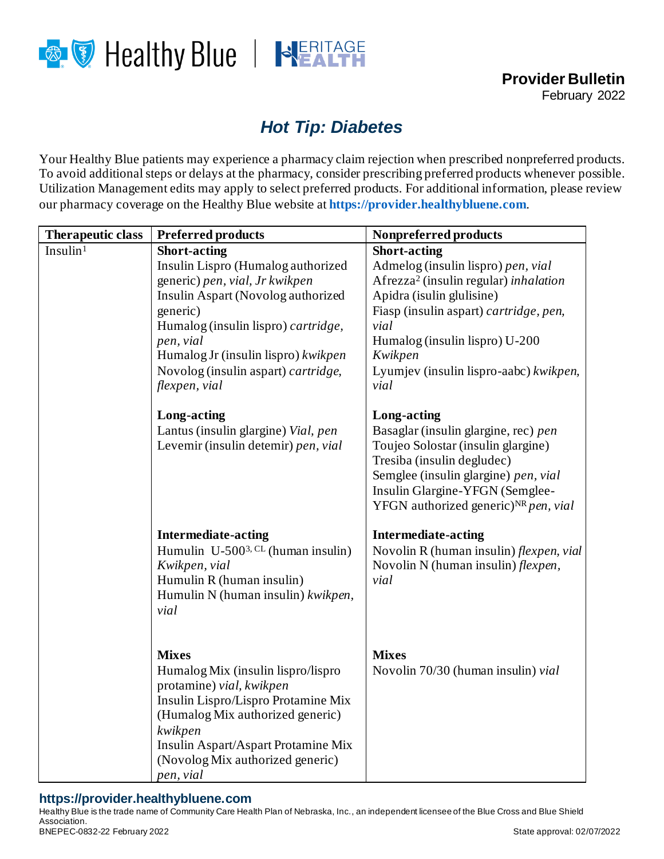

## *Hot Tip: Diabetes*

Your Healthy Blue patients may experience a pharmacy claim rejection when prescribed nonpreferred products. To avoid additional steps or delays at the pharmacy, consider prescribing preferred products whenever possible. Utilization Management edits may apply to select preferred products. For additional information, please review our pharmacy coverage on the Healthy Blue website at **[https://provider.healthybluene.com](https://provider.healthybluene.com/)**.

| <b>Therapeutic class</b> | <b>Preferred products</b>                                              | Nonpreferred products                                                                        |
|--------------------------|------------------------------------------------------------------------|----------------------------------------------------------------------------------------------|
| Insulin <sup>1</sup>     | <b>Short-acting</b>                                                    | <b>Short-acting</b>                                                                          |
|                          | Insulin Lispro (Humalog authorized                                     | Admelog (insulin lispro) pen, vial                                                           |
|                          | generic) pen, vial, Jr kwikpen                                         | Afrezza <sup>2</sup> (insulin regular) inhalation                                            |
|                          | Insulin Aspart (Novolog authorized                                     | Apidra (isulin glulisine)                                                                    |
|                          | generic)                                                               | Fiasp (insulin aspart) cartridge, pen,                                                       |
|                          | Humalog (insulin lispro) cartridge,                                    | vial                                                                                         |
|                          | pen, vial                                                              | Humalog (insulin lispro) U-200                                                               |
|                          | Humalog Jr (insulin lispro) kwikpen                                    | Kwikpen                                                                                      |
|                          | Novolog (insulin aspart) cartridge,                                    | Lyumjev (insulin lispro-aabc) kwikpen,                                                       |
|                          | flexpen, vial                                                          | vial                                                                                         |
|                          | <b>Long-acting</b>                                                     | Long-acting                                                                                  |
|                          | Lantus (insulin glargine) Vial, pen                                    | Basaglar (insulin glargine, rec) pen                                                         |
|                          | Levemir (insulin detemir) pen, vial                                    | Toujeo Solostar (insulin glargine)                                                           |
|                          |                                                                        | Tresiba (insulin degludec)                                                                   |
|                          |                                                                        | Semglee (insulin glargine) pen, vial                                                         |
|                          |                                                                        | Insulin Glargine-YFGN (Semglee-                                                              |
|                          |                                                                        | YFGN authorized generic) <sup>NR</sup> pen, vial                                             |
|                          |                                                                        |                                                                                              |
|                          | <b>Intermediate-acting</b><br>Humulin $U-500^{3}$ . CL (human insulin) | <b>Intermediate-acting</b>                                                                   |
|                          | Kwikpen, vial                                                          | Novolin R (human insulin) <i>flexpen</i> , <i>vial</i><br>Novolin N (human insulin) flexpen, |
|                          | Humulin R (human insulin)                                              | vial                                                                                         |
|                          | Humulin N (human insulin) kwikpen,                                     |                                                                                              |
|                          | vial                                                                   |                                                                                              |
|                          |                                                                        |                                                                                              |
|                          |                                                                        |                                                                                              |
|                          | <b>Mixes</b>                                                           | <b>Mixes</b>                                                                                 |
|                          | Humalog Mix (insulin lispro/lispro                                     | Novolin 70/30 (human insulin) vial                                                           |
|                          | protamine) vial, kwikpen                                               |                                                                                              |
|                          | Insulin Lispro/Lispro Protamine Mix                                    |                                                                                              |
|                          | (Humalog Mix authorized generic)                                       |                                                                                              |
|                          | kwikpen                                                                |                                                                                              |
|                          | Insulin Aspart/Aspart Protamine Mix                                    |                                                                                              |
|                          | (Novolog Mix authorized generic)                                       |                                                                                              |
|                          | pen, vial                                                              |                                                                                              |

## **https://provider.healthybluene.com**

Healthy Blue is the trade name of Community Care Health Plan of Nebraska, Inc., an independent licensee of the Blue Cross and Blue Shield Association. BNEPEC-0832-22 February 2022 720 12:00 12:00 12:00 12:00 12:00 12:00 12:00 12:00 12:00 12:00 12:00 12:00 12:00 12:00 12:00 12:00 12:00 12:00 12:00 12:00 12:00 12:00 12:00 12:00 12:00 12:00 12:00 12:00 12:00 12:00 12:00 12: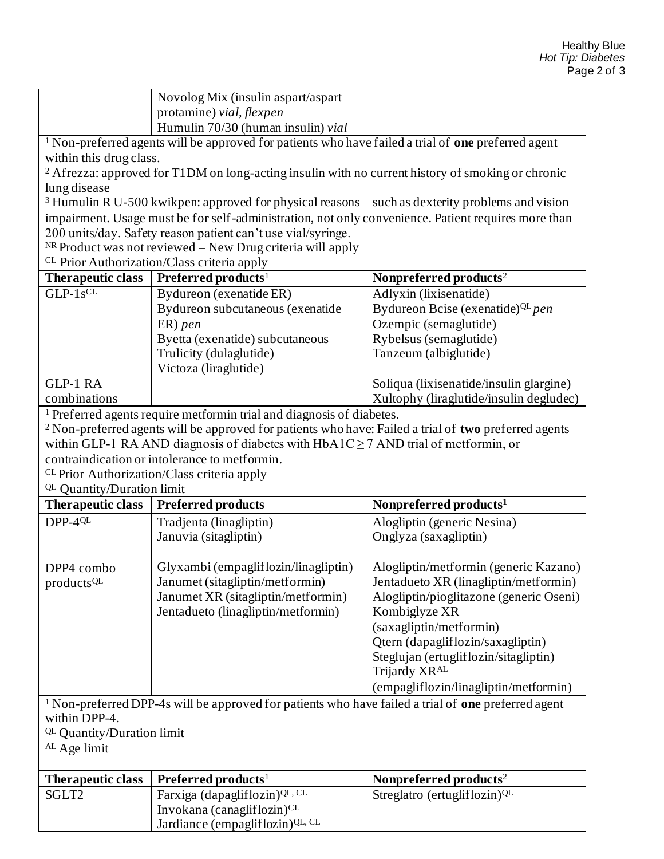|                                                                                                                | Novolog Mix (insulin aspart/aspart                                                                                    |                                                                                         |  |  |  |  |
|----------------------------------------------------------------------------------------------------------------|-----------------------------------------------------------------------------------------------------------------------|-----------------------------------------------------------------------------------------|--|--|--|--|
|                                                                                                                | protamine) vial, flexpen                                                                                              |                                                                                         |  |  |  |  |
|                                                                                                                | Humulin 70/30 (human insulin) vial                                                                                    |                                                                                         |  |  |  |  |
| <sup>1</sup> Non-preferred agents will be approved for patients who have failed a trial of one preferred agent |                                                                                                                       |                                                                                         |  |  |  |  |
| within this drug class.                                                                                        |                                                                                                                       |                                                                                         |  |  |  |  |
| <sup>2</sup> Afrezza: approved for T1DM on long-acting insulin with no current history of smoking or chronic   |                                                                                                                       |                                                                                         |  |  |  |  |
| lung disease                                                                                                   |                                                                                                                       |                                                                                         |  |  |  |  |
|                                                                                                                | <sup>3</sup> Humulin R U-500 kwikpen: approved for physical reasons – such as dexterity problems and vision           |                                                                                         |  |  |  |  |
|                                                                                                                | impairment. Usage must be for self-administration, not only convenience. Patient requires more than                   |                                                                                         |  |  |  |  |
| 200 units/day. Safety reason patient can't use vial/syringe.                                                   |                                                                                                                       |                                                                                         |  |  |  |  |
|                                                                                                                | $NR$ Product was not reviewed – New Drug criteria will apply                                                          |                                                                                         |  |  |  |  |
|                                                                                                                | <sup>CL</sup> Prior Authorization/Class criteria apply                                                                |                                                                                         |  |  |  |  |
| <b>Therapeutic class</b><br>$GLP-1s^{CL}$                                                                      | Preferred products <sup>1</sup>                                                                                       | Nonpreferred products <sup>2</sup>                                                      |  |  |  |  |
|                                                                                                                | Bydureon (exenatide ER)                                                                                               | Adlyxin (lixisenatide)                                                                  |  |  |  |  |
|                                                                                                                | Bydureon subcutaneous (exenatide                                                                                      | Bydureon Bcise (exenatide) <sup>QL</sup> pen                                            |  |  |  |  |
|                                                                                                                | $ER)$ pen                                                                                                             | Ozempic (semaglutide)                                                                   |  |  |  |  |
|                                                                                                                | Byetta (exenatide) subcutaneous                                                                                       | Rybelsus (semaglutide)                                                                  |  |  |  |  |
|                                                                                                                | Trulicity (dulaglutide)<br>Victoza (liraglutide)                                                                      | Tanzeum (albiglutide)                                                                   |  |  |  |  |
| <b>GLP-1 RA</b>                                                                                                |                                                                                                                       | Soliqua (lixisenatide/insulin glargine)                                                 |  |  |  |  |
| combinations                                                                                                   |                                                                                                                       | Xultophy (liraglutide/insulin degludec)                                                 |  |  |  |  |
|                                                                                                                | <sup>1</sup> Preferred agents require metformin trial and diagnosis of diabetes.                                      |                                                                                         |  |  |  |  |
|                                                                                                                | <sup>2</sup> Non-preferred agents will be approved for patients who have: Failed a trial of two preferred agents      |                                                                                         |  |  |  |  |
|                                                                                                                |                                                                                                                       |                                                                                         |  |  |  |  |
|                                                                                                                |                                                                                                                       | within GLP-1 RA AND diagnosis of diabetes with $HbA1C \ge 7$ AND trial of metformin, or |  |  |  |  |
| contraindication or intolerance to metformin.                                                                  |                                                                                                                       |                                                                                         |  |  |  |  |
|                                                                                                                |                                                                                                                       |                                                                                         |  |  |  |  |
|                                                                                                                | <sup>CL</sup> Prior Authorization/Class criteria apply                                                                |                                                                                         |  |  |  |  |
| QL Quantity/Duration limit                                                                                     |                                                                                                                       |                                                                                         |  |  |  |  |
| <b>Therapeutic class</b>                                                                                       | <b>Preferred products</b>                                                                                             | Nonpreferred products <sup>1</sup>                                                      |  |  |  |  |
| $DPP-4QL$                                                                                                      | Tradjenta (linagliptin)                                                                                               | Alogliptin (generic Nesina)                                                             |  |  |  |  |
|                                                                                                                | Januvia (sitagliptin)                                                                                                 | Onglyza (saxagliptin)                                                                   |  |  |  |  |
| DPP4 combo                                                                                                     |                                                                                                                       |                                                                                         |  |  |  |  |
|                                                                                                                | Glyxambi (empagliflozin/linagliptin)<br>Janumet (sitagliptin/metformin)                                               | Alogliptin/metformin (generic Kazano)<br>Jentadueto XR (linagliptin/metformin)          |  |  |  |  |
| products <sup>QL</sup>                                                                                         | Janumet XR (sitagliptin/metformin)                                                                                    | Alogliptin/pioglitazone (generic Oseni)                                                 |  |  |  |  |
|                                                                                                                | Jentadueto (linagliptin/metformin)                                                                                    | Kombiglyze XR                                                                           |  |  |  |  |
|                                                                                                                |                                                                                                                       |                                                                                         |  |  |  |  |
|                                                                                                                |                                                                                                                       | (saxagliptin/metformin)<br>Qtern (dapagliflozin/saxagliptin)                            |  |  |  |  |
|                                                                                                                |                                                                                                                       | Steglujan (ertugliflozin/sitagliptin)                                                   |  |  |  |  |
|                                                                                                                |                                                                                                                       | Trijardy XR <sup>AL</sup>                                                               |  |  |  |  |
|                                                                                                                |                                                                                                                       | (empagliflozin/linagliptin/metformin)                                                   |  |  |  |  |
|                                                                                                                | <sup>1</sup> Non-preferred DPP-4s will be approved for patients who have failed a trial of <b>one</b> preferred agent |                                                                                         |  |  |  |  |
| within DPP-4.                                                                                                  |                                                                                                                       |                                                                                         |  |  |  |  |
| QL Quantity/Duration limit                                                                                     |                                                                                                                       |                                                                                         |  |  |  |  |
| <sup>AL</sup> Age limit                                                                                        |                                                                                                                       |                                                                                         |  |  |  |  |
|                                                                                                                |                                                                                                                       |                                                                                         |  |  |  |  |
| <b>Therapeutic class</b>                                                                                       | Preferred products <sup>1</sup>                                                                                       | Nonpreferred products <sup>2</sup>                                                      |  |  |  |  |
| SGLT2                                                                                                          | Farxiga (dapagliflozin) <sup>QL, CL</sup>                                                                             | Streglatro (ertugliflozin) <sup>QL</sup>                                                |  |  |  |  |
|                                                                                                                | Invokana (canagliflozin) <sup>CL</sup><br>Jardiance (empagliflozin) QL, CL                                            |                                                                                         |  |  |  |  |